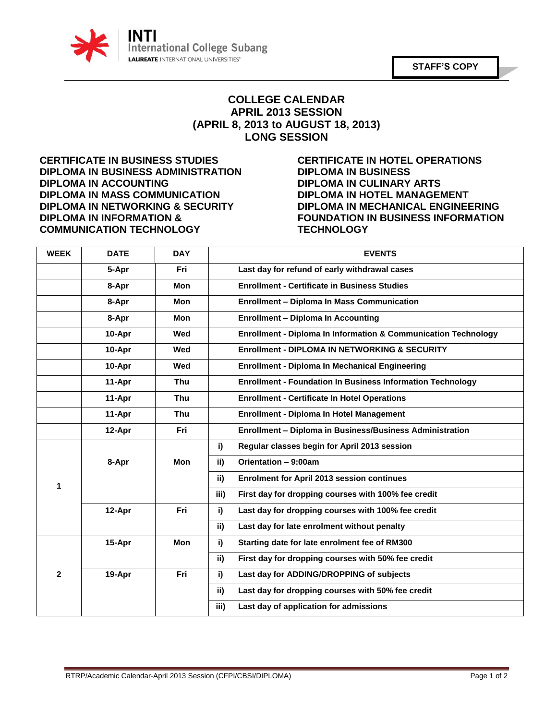

## **COLLEGE CALENDAR APRIL 2013 SESSION (APRIL 8, 2013 to AUGUST 18, 2013) LONG SESSION**

**DIPLOMA IN BUSINESS ADMINISTRATION DIPLOMA IN BUSINESS DIPLOMA IN ACCOUNTING DIPLOMA IN CULINARY ARTS DIPLOMA IN MASS COMMUNICATION DIPLOMA IN HOTEL MANAGEMENT DIPLOMA IN NETWORKING & SECURITY DIPLOMA IN MECHANICAL ENGINEERING DIPLOMA IN INFORMATION & FOUNDATION IN BUSINESS INFORMATION COMMUNICATION TECHNOLOGY TECHNOLOGY**

**CERTIFICATE IN BUSINESS STUDIES CERTIFICATE IN HOTEL OPERATIONS**

| <b>WEEK</b>  | <b>DATE</b> | <b>DAY</b> | <b>EVENTS</b>                                                             |
|--------------|-------------|------------|---------------------------------------------------------------------------|
|              | 5-Apr       | Fri        | Last day for refund of early withdrawal cases                             |
|              | 8-Apr       | <b>Mon</b> | <b>Enrollment - Certificate in Business Studies</b>                       |
|              | 8-Apr       | Mon        | <b>Enrollment - Diploma In Mass Communication</b>                         |
|              | 8-Apr       | <b>Mon</b> | <b>Enrollment - Diploma In Accounting</b>                                 |
|              | 10-Apr      | Wed        | <b>Enrollment - Diploma In Information &amp; Communication Technology</b> |
|              | 10-Apr      | Wed        | <b>Enrollment - DIPLOMA IN NETWORKING &amp; SECURITY</b>                  |
|              | 10-Apr      | Wed        | <b>Enrollment - Diploma In Mechanical Engineering</b>                     |
|              | 11-Apr      | <b>Thu</b> | <b>Enrollment - Foundation In Business Information Technology</b>         |
|              | 11-Apr      | <b>Thu</b> | <b>Enrollment - Certificate In Hotel Operations</b>                       |
|              | 11-Apr      | <b>Thu</b> | <b>Enrollment - Diploma In Hotel Management</b>                           |
|              | 12-Apr      | Fri        | Enrollment - Diploma in Business/Business Administration                  |
|              | 8-Apr       | Mon        | Regular classes begin for April 2013 session<br>i)                        |
|              |             |            | Orientation - 9:00am<br>ii)                                               |
| 1            |             |            | <b>Enrolment for April 2013 session continues</b><br>ii)                  |
|              |             |            | First day for dropping courses with 100% fee credit<br>iii)               |
|              | 12-Apr      | Fri        | i)<br>Last day for dropping courses with 100% fee credit                  |
|              |             |            | ii)<br>Last day for late enrolment without penalty                        |
| $\mathbf{2}$ | 15-Apr      | Mon        | i)<br>Starting date for late enrolment fee of RM300                       |
|              |             |            | ii)<br>First day for dropping courses with 50% fee credit                 |
|              | 19-Apr      | Fri        | i)<br>Last day for ADDING/DROPPING of subjects                            |
|              |             |            | ii)<br>Last day for dropping courses with 50% fee credit                  |
|              |             |            | iii)<br>Last day of application for admissions                            |